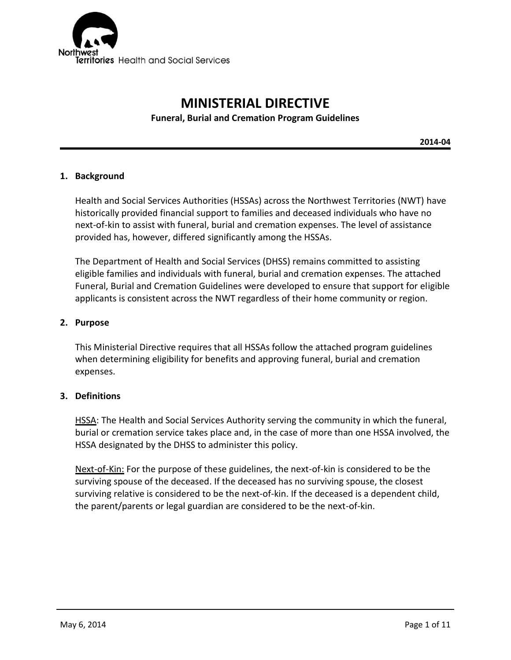

# **MINISTERIAL DIRECTIVE Funeral, Burial and Cremation Program Guidelines**

**2014-04**

#### **1. Background**

Health and Social Services Authorities (HSSAs) across the Northwest Territories (NWT) have historically provided financial support to families and deceased individuals who have no next-of-kin to assist with funeral, burial and cremation expenses. The level of assistance provided has, however, differed significantly among the HSSAs.

The Department of Health and Social Services (DHSS) remains committed to assisting eligible families and individuals with funeral, burial and cremation expenses. The attached Funeral, Burial and Cremation Guidelines were developed to ensure that support for eligible applicants is consistent across the NWT regardless of their home community or region.

#### **2. Purpose**

This Ministerial Directive requires that all HSSAs follow the attached program guidelines when determining eligibility for benefits and approving funeral, burial and cremation expenses.

#### **3. Definitions**

HSSA: The Health and Social Services Authority serving the community in which the funeral, burial or cremation service takes place and, in the case of more than one HSSA involved, the HSSA designated by the DHSS to administer this policy.

Next-of-Kin: For the purpose of these guidelines, the next-of-kin is considered to be the surviving spouse of the deceased. If the deceased has no surviving spouse, the closest surviving relative is considered to be the next-of-kin. If the deceased is a dependent child, the parent/parents or legal guardian are considered to be the next-of-kin.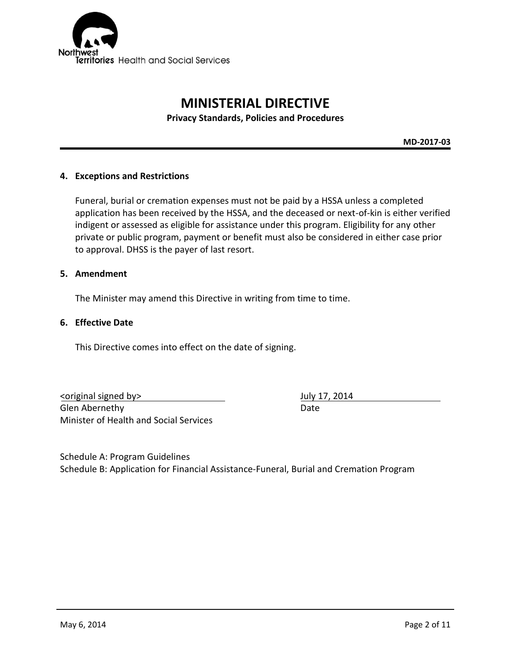

# **MINISTERIAL DIRECTIVE**

**Privacy Standards, Policies and Procedures**

**MD-2017-03**

#### **4. Exceptions and Restrictions**

Funeral, burial or cremation expenses must not be paid by a HSSA unless a completed application has been received by the HSSA, and the deceased or next-of-kin is either verified indigent or assessed as eligible for assistance under this program. Eligibility for any other private or public program, payment or benefit must also be considered in either case prior to approval. DHSS is the payer of last resort.

#### **5. Amendment**

The Minister may amend this Directive in writing from time to time.

#### **6. Effective Date**

This Directive comes into effect on the date of signing.

<original signed by> July 17, 2014 Glen Abernethy **Date** Minister of Health and Social Services

Schedule A: Program Guidelines Schedule B: Application for Financial Assistance-Funeral, Burial and Cremation Program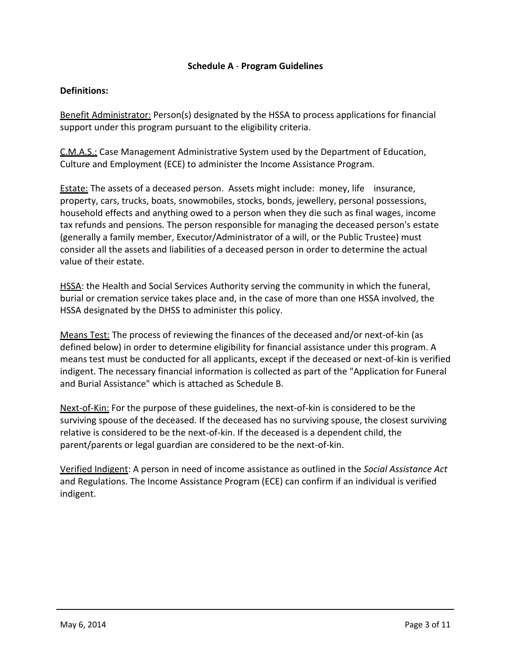### **Schedule A** - **Program Guidelines**

#### **Definitions:**

Benefit Administrator: Person(s) designated by the HSSA to process applications for financial support under this program pursuant to the eligibility criteria.

C.M.A.S.: Case Management Administrative System used by the Department of Education, Culture and Employment (ECE) to administer the Income Assistance Program.

**Estate:** The assets of a deceased person. Assets might include: money, life insurance, property, cars, trucks, boats, snowmobiles, stocks, bonds, jewellery, personal possessions, household effects and anything owed to a person when they die such as final wages, income tax refunds and pensions. The person responsible for managing the deceased person's estate (generally a family member, Executor/Administrator of a will, or the Public Trustee) must consider all the assets and liabilities of a deceased person in order to determine the actual value of their estate.

HSSA: the Health and Social Services Authority serving the community in which the funeral, burial or cremation service takes place and, in the case of more than one HSSA involved, the HSSA designated by the DHSS to administer this policy.

Means Test: The process of reviewing the finances of the deceased and/or next-of-kin (as defined below) in order to determine eligibility for financial assistance under this program. A means test must be conducted for all applicants, except if the deceased or next-of-kin is verified indigent. The necessary financial information is collected as part of the "Application for Funeral and Burial Assistance" which is attached as Schedule B.

Next-of-Kin: For the purpose of these guidelines, the next-of-kin is considered to be the surviving spouse of the deceased. If the deceased has no surviving spouse, the closest surviving relative is considered to be the next-of-kin. If the deceased is a dependent child, the parent/parents or legal guardian are considered to be the next-of-kin.

Verified Indigent: A person in need of income assistance as outlined in the *Social Assistance Act*  and Regulations. The Income Assistance Program (ECE) can confirm if an individual is verified indigent.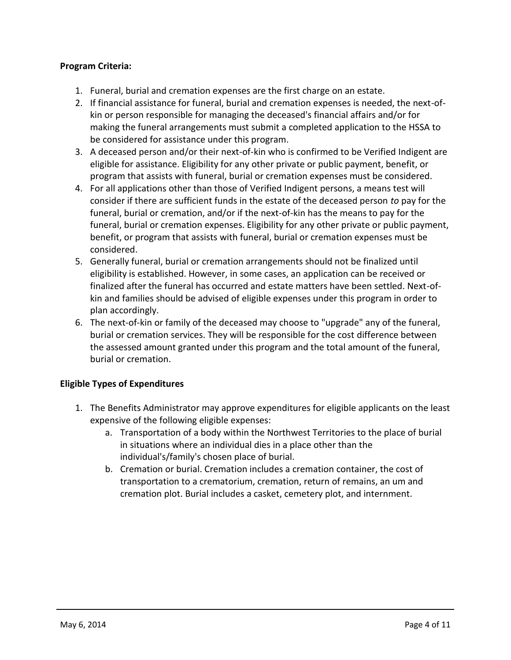## **Program Criteria:**

- 1. Funeral, burial and cremation expenses are the first charge on an estate.
- 2. If financial assistance for funeral, burial and cremation expenses is needed, the next-ofkin or person responsible for managing the deceased's financial affairs and/or for making the funeral arrangements must submit a completed application to the HSSA to be considered for assistance under this program.
- 3. A deceased person and/or their next-of-kin who is confirmed to be Verified Indigent are eligible for assistance. Eligibility for any other private or public payment, benefit, or program that assists with funeral, burial or cremation expenses must be considered.
- 4. For all applications other than those of Verified Indigent persons, a means test will consider if there are sufficient funds in the estate of the deceased person *to* pay for the funeral, burial or cremation, and/or if the next-of-kin has the means to pay for the funeral, burial or cremation expenses. Eligibility for any other private or public payment, benefit, or program that assists with funeral, burial or cremation expenses must be considered.
- 5. Generally funeral, burial or cremation arrangements should not be finalized until eligibility is established. However, in some cases, an application can be received or finalized after the funeral has occurred and estate matters have been settled. Next-ofkin and families should be advised of eligible expenses under this program in order to plan accordingly.
- 6. The next-of-kin or family of the deceased may choose to "upgrade" any of the funeral, burial or cremation services. They will be responsible for the cost difference between the assessed amount granted under this program and the total amount of the funeral, burial or cremation.

#### **Eligible Types of Expenditures**

- 1. The Benefits Administrator may approve expenditures for eligible applicants on the least expensive of the following eligible expenses:
	- a. Transportation of a body within the Northwest Territories to the place of burial in situations where an individual dies in a place other than the individual's/family's chosen place of burial.
	- b. Cremation or burial. Cremation includes a cremation container, the cost of transportation to a crematorium, cremation, return of remains, an um and cremation plot. Burial includes a casket, cemetery plot, and internment.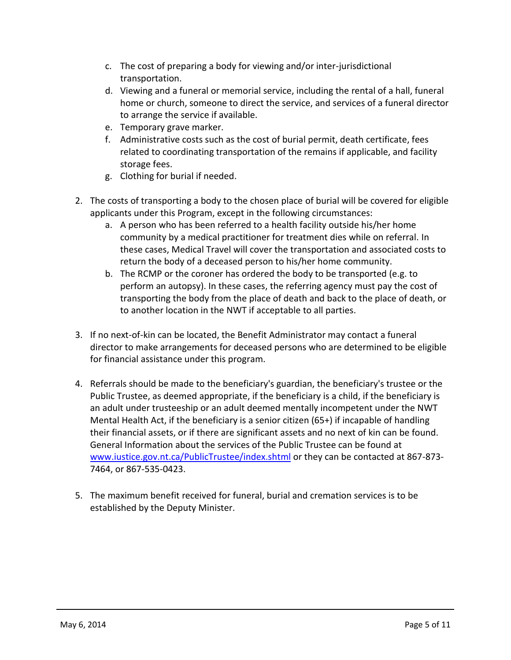- c. The cost of preparing a body for viewing and/or inter-jurisdictional transportation.
- d. Viewing and a funeral or memorial service, including the rental of a hall, funeral home or church, someone to direct the service, and services of a funeral director to arrange the service if available.
- e. Temporary grave marker.
- f. Administrative costs such as the cost of burial permit, death certificate, fees related to coordinating transportation of the remains if applicable, and facility storage fees.
- g. Clothing for burial if needed.
- 2. The costs of transporting a body to the chosen place of burial will be covered for eligible applicants under this Program, except in the following circumstances:
	- a. A person who has been referred to a health facility outside his/her home community by a medical practitioner for treatment dies while on referral. In these cases, Medical Travel will cover the transportation and associated costs to return the body of a deceased person to his/her home community.
	- b. The RCMP or the coroner has ordered the body to be transported (e.g. to perform an autopsy). In these cases, the referring agency must pay the cost of transporting the body from the place of death and back to the place of death, or to another location in the NWT if acceptable to all parties.
- 3. If no next-of-kin can be located, the Benefit Administrator may contact a funeral director to make arrangements for deceased persons who are determined to be eligible for financial assistance under this program.
- 4. Referrals should be made to the beneficiary's guardian, the beneficiary's trustee or the Public Trustee, as deemed appropriate, if the beneficiary is a child, if the beneficiary is an adult under trusteeship or an adult deemed mentally incompetent under the NWT Mental Health Act, if the beneficiary is a senior citizen (65+) if incapable of handling their financial assets, or if there are significant assets and no next of kin can be found. General Information about the services of the Public Trustee can be found at [www.iustice.gov.nt.ca/PublicTrustee/index.shtml](http://www.iustice.gov.nt.ca/PublicTrustee/index.shtml) or they can be contacted at 867-873- 7464, or 867-535-0423.
- 5. The maximum benefit received for funeral, burial and cremation services is to be established by the Deputy Minister.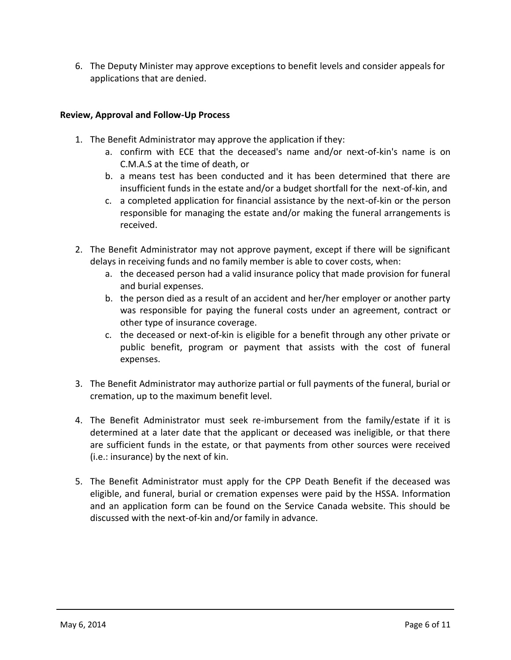6. The Deputy Minister may approve exceptions to benefit levels and consider appeals for applications that are denied.

## **Review, Approval and Follow-Up Process**

- 1. The Benefit Administrator may approve the application if they:
	- a. confirm with ECE that the deceased's name and/or next-of-kin's name is on C.M.A.S at the time of death, or
	- b. a means test has been conducted and it has been determined that there are insufficient funds in the estate and/or a budget shortfall for the next-of-kin, and
	- c. a completed application for financial assistance by the next-of-kin or the person responsible for managing the estate and/or making the funeral arrangements is received.
- 2. The Benefit Administrator may not approve payment, except if there will be significant delays in receiving funds and no family member is able to cover costs, when:
	- a. the deceased person had a valid insurance policy that made provision for funeral and burial expenses.
	- b. the person died as a result of an accident and her/her employer or another party was responsible for paying the funeral costs under an agreement, contract or other type of insurance coverage.
	- c. the deceased or next-of-kin is eligible for a benefit through any other private or public benefit, program or payment that assists with the cost of funeral expenses.
- 3. The Benefit Administrator may authorize partial or full payments of the funeral, burial or cremation, up to the maximum benefit level.
- 4. The Benefit Administrator must seek re-imbursement from the family/estate if it is determined at a later date that the applicant or deceased was ineligible, or that there are sufficient funds in the estate, or that payments from other sources were received (i.e.: insurance) by the next of kin.
- 5. The Benefit Administrator must apply for the CPP Death Benefit if the deceased was eligible, and funeral, burial or cremation expenses were paid by the HSSA. Information and an application form can be found on the Service Canada website. This should be discussed with the next-of-kin and/or family in advance.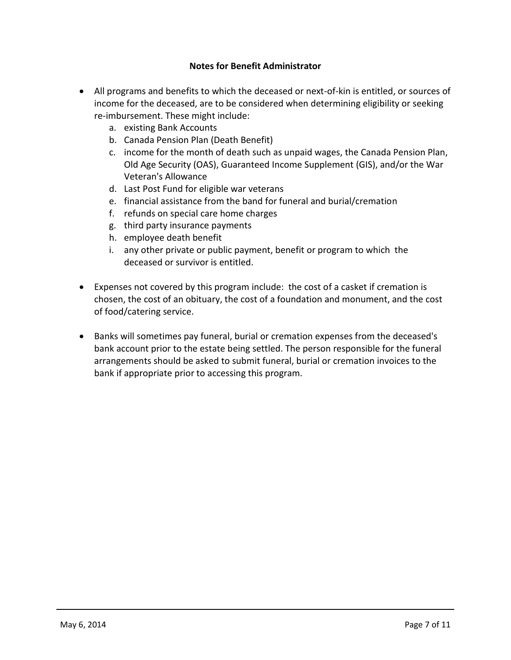## **Notes for Benefit Administrator**

- All programs and benefits to which the deceased or next-of-kin is entitled, or sources of income for the deceased, are to be considered when determining eligibility or seeking re-imbursement. These might include:
	- a. existing Bank Accounts
	- b. Canada Pension Plan (Death Benefit)
	- c. income for the month of death such as unpaid wages, the Canada Pension Plan, Old Age Security (OAS), Guaranteed Income Supplement (GIS), and/or the War Veteran's Allowance
	- d. Last Post Fund for eligible war veterans
	- e. financial assistance from the band for funeral and burial/cremation
	- f. refunds on special care home charges
	- g. third party insurance payments
	- h. employee death benefit
	- i. any other private or public payment, benefit or program to which the deceased or survivor is entitled.
- Expenses not covered by this program include: the cost of a casket if cremation is chosen, the cost of an obituary, the cost of a foundation and monument, and the cost of food/catering service.
- Banks will sometimes pay funeral, burial or cremation expenses from the deceased's bank account prior to the estate being settled. The person responsible for the funeral arrangements should be asked to submit funeral, burial or cremation invoices to the bank if appropriate prior to accessing this program.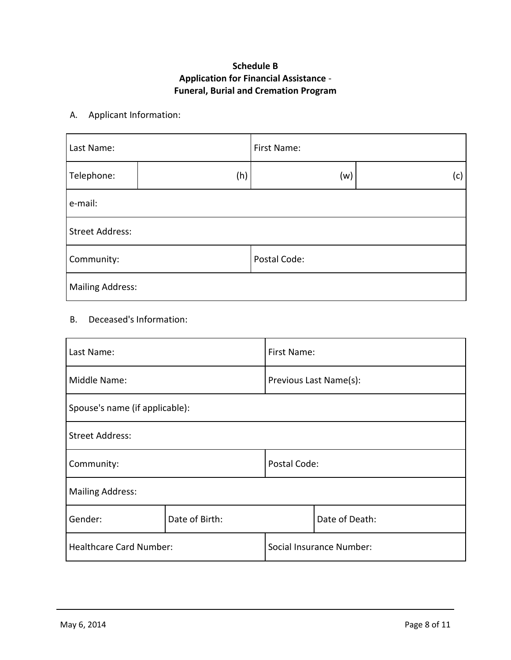# **Schedule B Application for Financial Assistance** - **Funeral, Burial and Cremation Program**

## A. Applicant Information:

| Last Name:              |     | First Name:  |     |
|-------------------------|-----|--------------|-----|
| Telephone:              | (h) | (w)          | (c) |
| e-mail:                 |     |              |     |
| Street Address:         |     |              |     |
| Community:              |     | Postal Code: |     |
| <b>Mailing Address:</b> |     |              |     |

## B. Deceased's Information:

| Last Name:                     |                | First Name:              |                |
|--------------------------------|----------------|--------------------------|----------------|
| Middle Name:                   |                | Previous Last Name(s):   |                |
| Spouse's name (if applicable): |                |                          |                |
| <b>Street Address:</b>         |                |                          |                |
| Community:                     |                | Postal Code:             |                |
| <b>Mailing Address:</b>        |                |                          |                |
| Gender:                        | Date of Birth: |                          | Date of Death: |
| <b>Healthcare Card Number:</b> |                | Social Insurance Number: |                |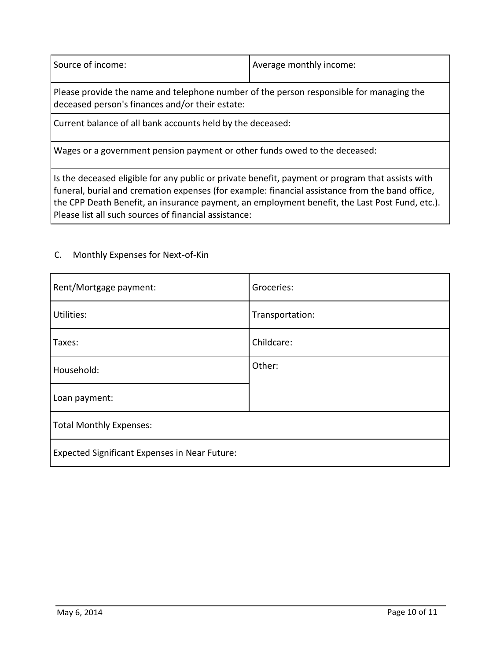Source of income:  $\vert$  Average monthly income:

Please provide the name and telephone number of the person responsible for managing the deceased person's finances and/or their estate:

Current balance of all bank accounts held by the deceased:

Wages or a government pension payment or other funds owed to the deceased:

Is the deceased eligible for any public or private benefit, payment or program that assists with funeral, burial and cremation expenses (for example: financial assistance from the band office, the CPP Death Benefit, an insurance payment, an employment benefit, the Last Post Fund, etc.). Please list all such sources of financial assistance:

| Rent/Mortgage payment:                               | Groceries:      |
|------------------------------------------------------|-----------------|
| Utilities:                                           | Transportation: |
| Taxes:                                               | Childcare:      |
| Household:                                           | Other:          |
| Loan payment:                                        |                 |
| <b>Total Monthly Expenses:</b>                       |                 |
| <b>Expected Significant Expenses in Near Future:</b> |                 |

### C. Monthly Expenses for Next-of-Kin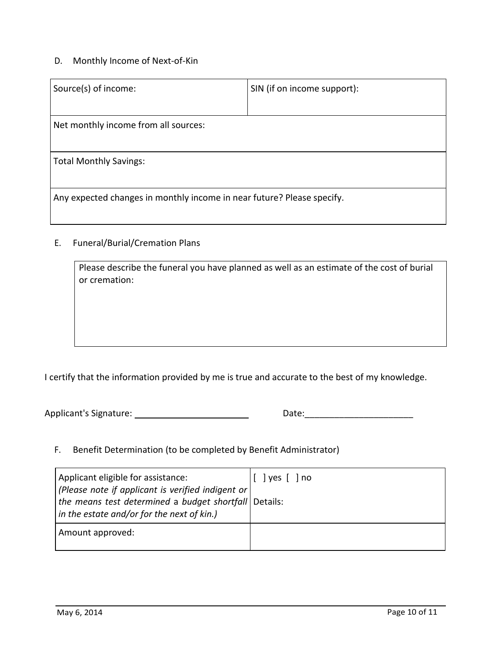# D. Monthly Income of Next-of-Kin

| Source(s) of income:                                                   | SIN (if on income support): |  |
|------------------------------------------------------------------------|-----------------------------|--|
| Net monthly income from all sources:                                   |                             |  |
| <b>Total Monthly Savings:</b>                                          |                             |  |
| Any expected changes in monthly income in near future? Please specify. |                             |  |

# E. Funeral/Burial/Cremation Plans

| Please describe the funeral you have planned as well as an estimate of the cost of burial<br>or cremation: |
|------------------------------------------------------------------------------------------------------------|
|                                                                                                            |
|                                                                                                            |
|                                                                                                            |

I certify that the information provided by me is true and accurate to the best of my knowledge.

Applicant's Signature: Date:\_\_\_\_\_\_\_\_\_\_\_\_\_\_\_\_\_\_\_\_\_\_

| Date: |  |
|-------|--|
|       |  |

F. Benefit Determination (to be completed by Benefit Administrator)

| Applicant eligible for assistance:<br>(Please note if applicant is verified indigent or                       | l no<br>l ves T |
|---------------------------------------------------------------------------------------------------------------|-----------------|
| the means test determined a budget shortfall   Details:<br>$\vert$ in the estate and/or for the next of kin.) |                 |
| Amount approved:                                                                                              |                 |